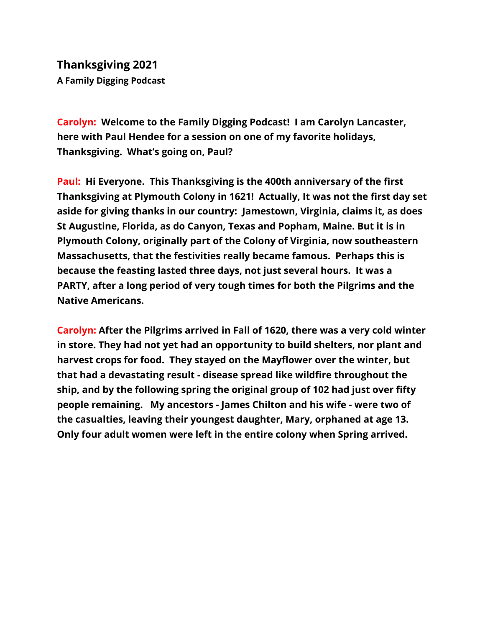**Thanksgiving 2021 A Family Digging Podcast**

**Carolyn: Welcome to the Family Digging Podcast! I am Carolyn Lancaster, here with Paul Hendee for a session on one of my favorite holidays, Thanksgiving. What's going on, Paul?**

**Paul: Hi Everyone. This Thanksgiving is the 400th anniversary of the first Thanksgiving at Plymouth Colony in 1621! Actually, It was not the first day set aside for giving thanks in our country: Jamestown, Virginia, claims it, as does St Augustine, Florida, as do Canyon, Texas and Popham, Maine. But it is in Plymouth Colony, originally part of the Colony of Virginia, now southeastern Massachusetts, that the festivities really became famous. Perhaps this is because the feasting lasted three days, not just several hours. It was a PARTY, after a long period of very tough times for both the Pilgrims and the Native Americans.**

**Carolyn: After the Pilgrims arrived in Fall of 1620, there was a very cold winter in store. They had not yet had an opportunity to build shelters, nor plant and harvest crops for food. They stayed on the Mayflower over the winter, but that had a devastating result - disease spread like wildfire throughout the ship, and by the following spring the original group of 102 had just over fifty people remaining. My ancestors - James Chilton and his wife - were two of the casualties, leaving their youngest daughter, Mary, orphaned at age 13. Only four adult women were left in the entire colony when Spring arrived.**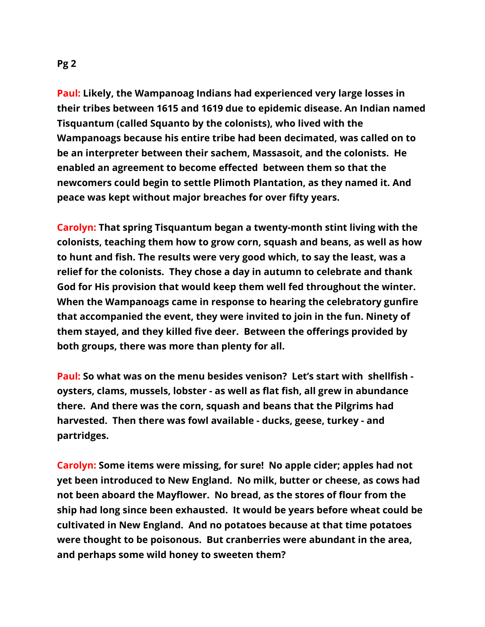**Paul: Likely, the Wampanoag Indians had experienced very large losses in their tribes between 1615 and 1619 due to epidemic disease. An Indian named Tisquantum (called Squanto by the colonists), who lived with the Wampanoags because his entire tribe had been decimated, was called on to be an interpreter between their sachem, Massasoit, and the colonists. He enabled an agreement to become effected between them so that the newcomers could begin to settle Plimoth Plantation, as they named it. And peace was kept without major breaches for over fifty years.**

**Carolyn: That spring Tisquantum began a twenty-month stint living with the colonists, teaching them how to grow corn, squash and beans, as well as how to hunt and fish. The results were very good which, to say the least, was a relief for the colonists. They chose a day in autumn to celebrate and thank God for His provision that would keep them well fed throughout the winter. When the Wampanoags came in response to hearing the celebratory gunfire that accompanied the event, they were invited to join in the fun. Ninety of them stayed, and they killed five deer. Between the offerings provided by both groups, there was more than plenty for all.**

**Paul: So what was on the menu besides venison? Let's start with shellfish oysters, clams, mussels, lobster - as well as flat fish, all grew in abundance there. And there was the corn, squash and beans that the Pilgrims had harvested. Then there was fowl available - ducks, geese, turkey - and partridges.**

**Carolyn: Some items were missing, for sure! No apple cider; apples had not yet been introduced to New England. No milk, butter or cheese, as cows had not been aboard the Mayflower. No bread, as the stores of flour from the ship had long since been exhausted. It would be years before wheat could be cultivated in New England. And no potatoes because at that time potatoes were thought to be poisonous. But cranberries were abundant in the area, and perhaps some wild honey to sweeten them?**

## **Pg 2**